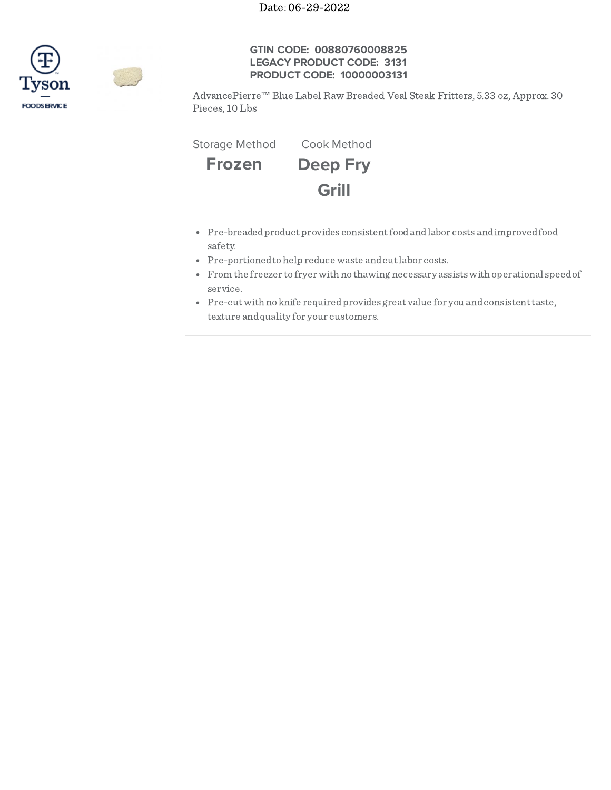

## **GTIN CODE: 00880760008825 LEGACY PRODUCT CODE: 3131 PRODUCT CODE: 10000003131**

AdvancePierre™ Blue Label Raw Breaded Veal Steak Fritters, 5.33 oz, Approx. 30 Pieces, 10 Lbs

Storage Method Cook Method



- Pre-breadedproduct provides consistentfoodandlabor costs andimprovedfood safety.
- Pre-portioned to help reduce waste and cut labor costs.
- From the freezer to fryer with no thawing necessary assistswith operational speedof service.
- Pre-cutwith no knife requiredprovides great value for you andconsistenttaste, texture andquality for your customers.